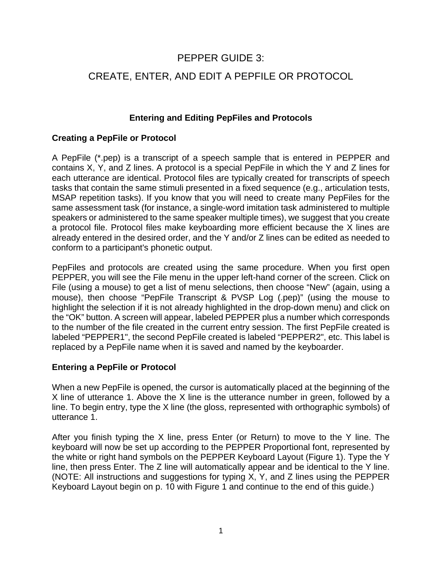# PEPPER GUIDE 3:

# CREATE, ENTER, AND EDIT A PEPFILE OR PROTOCOL

## **Entering and Editing PepFiles and Protocols**

## **Creating a PepFile or Protocol**

A PepFile (\*.pep) is a transcript of a speech sample that is entered in PEPPER and contains X, Y, and Z lines. A protocol is a special PepFile in which the Y and Z lines for each utterance are identical. Protocol files are typically created for transcripts of speech tasks that contain the same stimuli presented in a fixed sequence (e.g., articulation tests, MSAP repetition tasks). If you know that you will need to create many PepFiles for the same assessment task (for instance, a single-word imitation task administered to multiple speakers or administered to the same speaker multiple times), we suggest that you create a protocol file. Protocol files make keyboarding more efficient because the X lines are already entered in the desired order, and the Y and/or Z lines can be edited as needed to conform to a participant's phonetic output.

PepFiles and protocols are created using the same procedure. When you first open PEPPER, you will see the File menu in the upper left-hand corner of the screen. Click on File (using a mouse) to get a list of menu selections, then choose "New" (again, using a mouse), then choose "PepFile Transcript & PVSP Log (.pep)" (using the mouse to highlight the selection if it is not already highlighted in the drop-down menu) and click on the "OK" button. A screen will appear, labeled PEPPER plus a number which corresponds to the number of the file created in the current entry session. The first PepFile created is labeled "PEPPER1", the second PepFile created is labeled "PEPPER2", etc. This label is replaced by a PepFile name when it is saved and named by the keyboarder.

#### **Entering a PepFile or Protocol**

When a new PepFile is opened, the cursor is automatically placed at the beginning of the X line of utterance 1. Above the X line is the utterance number in green, followed by a line. To begin entry, type the X line (the gloss, represented with orthographic symbols) of utterance 1.

After you finish typing the X line, press Enter (or Return) to move to the Y line. The keyboard will now be set up according to the PEPPER Proportional font, represented by the white or right hand symbols on the PEPPER Keyboard Layout (Figure 1). Type the Y line, then press Enter. The Z line will automatically appear and be identical to the Y line. (NOTE: All instructions and suggestions for typing X, Y, and Z lines using the PEPPER Keyboard Layout begin on p. 10 with Figure 1 and continue to the end of this guide.)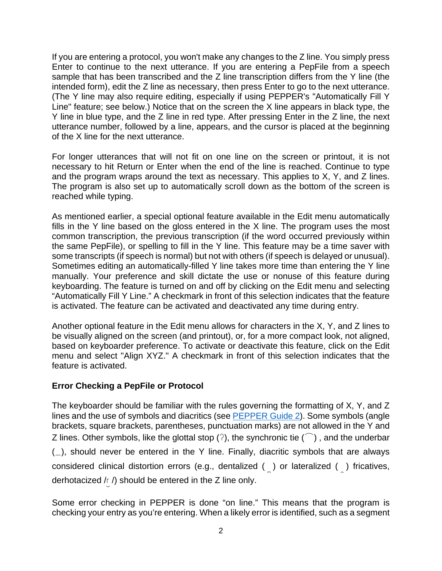If you are entering a protocol, you won't make any changes to the Z line. You simply press Enter to continue to the next utterance. If you are entering a PepFile from a speech sample that has been transcribed and the Z line transcription differs from the Y line (the intended form), edit the Z line as necessary, then press Enter to go to the next utterance. (The Y line may also require editing, especially if using PEPPER's "Automatically Fill Y Line" feature; see below.) Notice that on the screen the X line appears in black type, the Y line in blue type, and the Z line in red type. After pressing Enter in the Z line, the next utterance number, followed by a line, appears, and the cursor is placed at the beginning of the X line for the next utterance.

For longer utterances that will not fit on one line on the screen or printout, it is not necessary to hit Return or Enter when the end of the line is reached. Continue to type and the program wraps around the text as necessary. This applies to X, Y, and Z lines. The program is also set up to automatically scroll down as the bottom of the screen is reached while typing.

As mentioned earlier, a special optional feature available in the Edit menu automatically fills in the Y line based on the gloss entered in the X line. The program uses the most common transcription, the previous transcription (if the word occurred previously within the same PepFile), or spelling to fill in the Y line. This feature may be a time saver with some transcripts (if speech is normal) but not with others (if speech is delayed or unusual). Sometimes editing an automatically-filled Y line takes more time than entering the Y line manually. Your preference and skill dictate the use or nonuse of this feature during keyboarding. The feature is turned on and off by clicking on the Edit menu and selecting "Automatically Fill Y Line." A checkmark in front of this selection indicates that the feature is activated. The feature can be activated and deactivated any time during entry.

Another optional feature in the Edit menu allows for characters in the X, Y, and Z lines to be visually aligned on the screen (and printout), or, for a more compact look, not aligned, based on keyboarder preference. To activate or deactivate this feature, click on the Edit menu and select "Align XYZ." A checkmark in front of this selection indicates that the feature is activated.

## **Error Checking a PepFile or Protocol**

The keyboarder should be familiar with the rules governing the formatting of X, Y, and Z lines and the use of symbols and diacritics (see [PEPPER Guide 2](https://phonology.waisman.wisc.edu/wp-content/uploads/sites/532/2019/07/PEPPER-Guide-2.pdf)). Some symbols (angle brackets, square brackets, parentheses, punctuation marks) are not allowed in the Y and Z lines. Other symbols, like the glottal stop ( $\gamma$ ), the synchronic tie ( $\widehat{\phantom{a}}$ ), and the underbar  $($ ), should never be entered in the Y line. Finally, diacritic symbols that are always considered clinical distortion errors (e.g., dentalized () or lateralized () fricatives, derhotacized  $/r /$ ) should be entered in the Z line only.

Some error checking in PEPPER is done "on line." This means that the program is checking your entry as you're entering. When a likely error is identified, such as a segment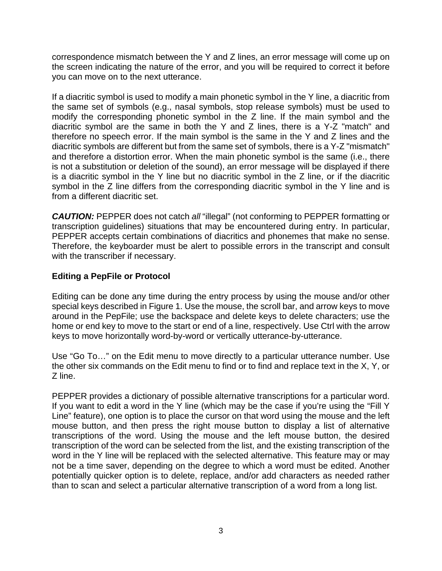correspondence mismatch between the Y and Z lines, an error message will come up on the screen indicating the nature of the error, and you will be required to correct it before you can move on to the next utterance.

If a diacritic symbol is used to modify a main phonetic symbol in the Y line, a diacritic from the same set of symbols (e.g., nasal symbols, stop release symbols) must be used to modify the corresponding phonetic symbol in the Z line. If the main symbol and the diacritic symbol are the same in both the Y and Z lines, there is a Y-Z "match" and therefore no speech error. If the main symbol is the same in the Y and Z lines and the diacritic symbols are different but from the same set of symbols, there is a Y-Z "mismatch" and therefore a distortion error. When the main phonetic symbol is the same (i.e., there is not a substitution or deletion of the sound), an error message will be displayed if there is a diacritic symbol in the Y line but no diacritic symbol in the Z line, or if the diacritic symbol in the Z line differs from the corresponding diacritic symbol in the Y line and is from a different diacritic set.

**CAUTION:** PEPPER does not catch all "illegal" (not conforming to PEPPER formatting or transcription guidelines) situations that may be encountered during entry. In particular, PEPPER accepts certain combinations of diacritics and phonemes that make no sense. Therefore, the keyboarder must be alert to possible errors in the transcript and consult with the transcriber if necessary.

# **Editing a PepFile or Protocol**

Editing can be done any time during the entry process by using the mouse and/or other special keys described in Figure 1. Use the mouse, the scroll bar, and arrow keys to move around in the PepFile; use the backspace and delete keys to delete characters; use the home or end key to move to the start or end of a line, respectively. Use Ctrl with the arrow keys to move horizontally word-by-word or vertically utterance-by-utterance.

Use "Go To…" on the Edit menu to move directly to a particular utterance number. Use the other six commands on the Edit menu to find or to find and replace text in the X, Y, or Z line.

PEPPER provides a dictionary of possible alternative transcriptions for a particular word. If you want to edit a word in the Y line (which may be the case if you're using the "Fill Y Line" feature), one option is to place the cursor on that word using the mouse and the left mouse button, and then press the right mouse button to display a list of alternative transcriptions of the word. Using the mouse and the left mouse button, the desired transcription of the word can be selected from the list, and the existing transcription of the word in the Y line will be replaced with the selected alternative. This feature may or may not be a time saver, depending on the degree to which a word must be edited. Another potentially quicker option is to delete, replace, and/or add characters as needed rather than to scan and select a particular alternative transcription of a word from a long list.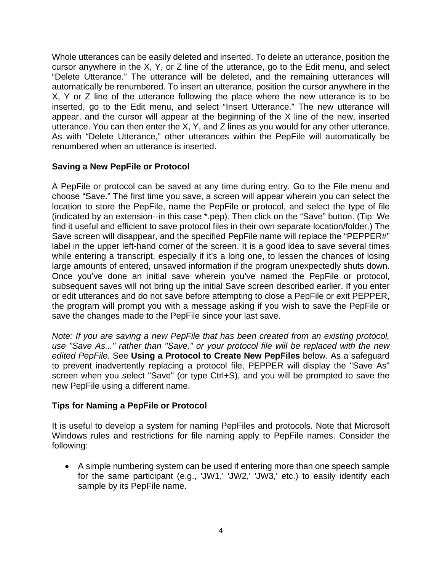Whole utterances can be easily deleted and inserted. To delete an utterance, position the cursor anywhere in the X, Y, or Z line of the utterance, go to the Edit menu, and select "Delete Utterance." The utterance will be deleted, and the remaining utterances will automatically be renumbered. To insert an utterance, position the cursor anywhere in the X, Y or Z line of the utterance following the place where the new utterance is to be inserted, go to the Edit menu, and select "Insert Utterance." The new utterance will appear, and the cursor will appear at the beginning of the X line of the new, inserted utterance. You can then enter the X, Y, and Z lines as you would for any other utterance. As with "Delete Utterance," other utterances within the PepFile will automatically be renumbered when an utterance is inserted.

## **Saving a New PepFile or Protocol**

A PepFile or protocol can be saved at any time during entry. Go to the File menu and choose "Save." The first time you save, a screen will appear wherein you can select the location to store the PepFile, name the PepFile or protocol, and select the type of file (indicated by an extension--in this case \*.pep). Then click on the "Save" button. (Tip: We find it useful and efficient to save protocol files in their own separate location/folder.) The Save screen will disappear, and the specified PepFile name will replace the "PEPPER#" label in the upper left-hand corner of the screen. It is a good idea to save several times while entering a transcript, especially if it's a long one, to lessen the chances of losing large amounts of entered, unsaved information if the program unexpectedly shuts down. Once you've done an initial save wherein you've named the PepFile or protocol, subsequent saves will not bring up the initial Save screen described earlier. If you enter or edit utterances and do not save before attempting to close a PepFile or exit PEPPER, the program will prompt you with a message asking if you wish to save the PepFile or save the changes made to the PepFile since your last save.

*Note: If you are saving a new PepFile that has been created from an existing protocol, use "Save As..." rather than "Save," or your protocol file will be replaced with the new edited PepFile.* See **Using a Protocol to Create New PepFiles** below. As a safeguard to prevent inadvertently replacing a protocol file, PEPPER will display the "Save As" screen when you select "Save" (or type Ctrl+S), and you will be prompted to save the new PepFile using a different name.

#### **Tips for Naming a PepFile or Protocol**

It is useful to develop a system for naming PepFiles and protocols. Note that Microsoft Windows rules and restrictions for file naming apply to PepFile names. Consider the following:

 A simple numbering system can be used if entering more than one speech sample for the same participant (e.g., 'JW1,' 'JW2,' 'JW3,' etc.) to easily identify each sample by its PepFile name.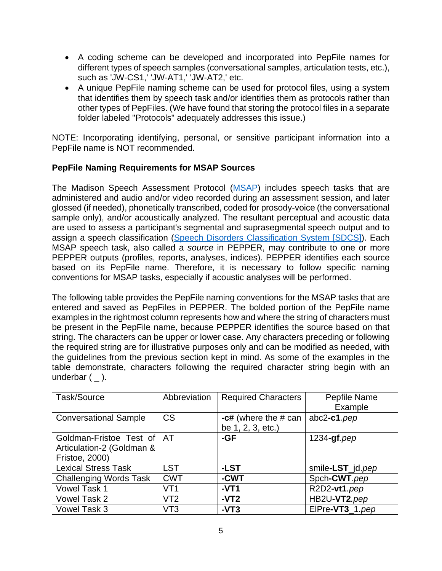- A coding scheme can be developed and incorporated into PepFile names for different types of speech samples (conversational samples, articulation tests, etc.), such as 'JW-CS1,' 'JW-AT1,' 'JW-AT2,' etc.
- A unique PepFile naming scheme can be used for protocol files, using a system that identifies them by speech task and/or identifies them as protocols rather than other types of PepFiles. (We have found that storing the protocol files in a separate folder labeled "Protocols" adequately addresses this issue.)

NOTE: Incorporating identifying, personal, or sensitive participant information into a PepFile name is NOT recommended.

## **PepFile Naming Requirements for MSAP Sources**

The Madison Speech Assessment Protocol ([MSAP\)](https://phonology.waisman.wisc.edu/procedures-and-stimuli-for-speech-measures/) includes speech tasks that are administered and audio and/or video recorded during an assessment session, and later glossed (if needed), phonetically transcribed, coded for prosody-voice (the conversational sample only), and/or acoustically analyzed. The resultant perceptual and acoustic data are used to assess a participant's segmental and suprasegmental speech output and to assign a speech classification [\(Speech Disorders Classification System \[SDCS\]\)](https://phonology.waisman.wisc.edu/). Each MSAP speech task, also called a *source* in PEPPER, may contribute to one or more PEPPER outputs (profiles, reports, analyses, indices). PEPPER identifies each source based on its PepFile name. Therefore, it is necessary to follow specific naming conventions for MSAP tasks, especially if acoustic analyses will be performed.

The following table provides the PepFile naming conventions for the MSAP tasks that are entered and saved as PepFiles in PEPPER. The bolded portion of the PepFile name examples in the rightmost column represents how and where the string of characters must be present in the PepFile name, because PEPPER identifies the source based on that string. The characters can be upper or lower case. Any characters preceding or following the required string are for illustrative purposes only and can be modified as needed, with the guidelines from the previous section kept in mind. As some of the examples in the table demonstrate, characters following the required character string begin with an underbar  $($   $)$ .

| Task/Source                   | Abbreviation    | <b>Required Characters</b> | Pepfile Name     |
|-------------------------------|-----------------|----------------------------|------------------|
|                               |                 |                            | Example          |
| <b>Conversational Sample</b>  | <b>CS</b>       | $-c#$ (where the $# can$   | $abc2-c1.pep$    |
|                               |                 | be 1, 2, 3, etc.)          |                  |
| Goldman-Fristoe Test of   AT  |                 | -GF                        | $1234 - gf.$ pep |
| Articulation-2 (Goldman &     |                 |                            |                  |
| Fristoe, 2000)                |                 |                            |                  |
| <b>Lexical Stress Task</b>    | <b>LST</b>      | -LST                       | smile-LST_jd.pep |
| <b>Challenging Words Task</b> | <b>CWT</b>      | -CWT                       | Spch-CWT.pep     |
| <b>Vowel Task 1</b>           | VT <sub>1</sub> | $-VT1$                     | R2D2-vt1.pep     |
| Vowel Task 2                  | VT2             | $-VT2$                     | HB2U-VT2.pep     |
| Vowel Task 3                  | VT3             | $-VT3$                     | ElPre-VT3 1.pep  |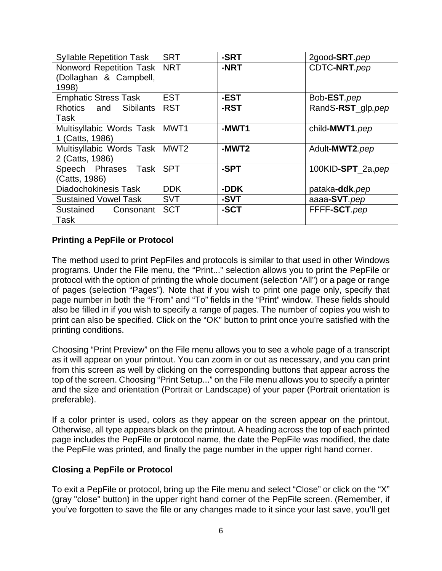| <b>Syllable Repetition Task</b> | <b>SRT</b>       | -SRT  | 2good-SRT.pep     |
|---------------------------------|------------------|-------|-------------------|
| Nonword Repetition Task         | <b>NRT</b>       | -NRT  | CDTC-NRT.pep      |
| (Dollaghan & Campbell,          |                  |       |                   |
| 1998)                           |                  |       |                   |
| <b>Emphatic Stress Task</b>     | <b>EST</b>       | -EST  | Bob-EST.pep       |
| Rhotics and Sibilants           | <b>RST</b>       | -RST  | RandS-RST_glp.pep |
| Task                            |                  |       |                   |
| Multisyllabic Words Task        | MWT1             | -MWT1 | child-MWT1.pep    |
| 1 (Catts, 1986)                 |                  |       |                   |
| Multisyllabic Words Task        | MWT <sub>2</sub> | -MWT2 | Adult-MWT2.pep    |
| 2 (Catts, 1986)                 |                  |       |                   |
| Speech Phrases Task             | <b>SPT</b>       | -SPT  | 100KID-SPT_2a.pep |
| (Catts, 1986)                   |                  |       |                   |
| <b>Diadochokinesis Task</b>     | <b>DDK</b>       | -DDK  | pataka-ddk.pep    |
| <b>Sustained Vowel Task</b>     | <b>SVT</b>       | -SVT  | aaaa-SVT.pep      |
| Sustained Consonant             | <b>SCT</b>       | -SCT  | FFFF-SCT.pep      |
| Task                            |                  |       |                   |

## **Printing a PepFile or Protocol**

The method used to print PepFiles and protocols is similar to that used in other Windows programs. Under the File menu, the "Print..." selection allows you to print the PepFile or protocol with the option of printing the whole document (selection "All") or a page or range of pages (selection "Pages"). Note that if you wish to print one page only, specify that page number in both the "From" and "To" fields in the "Print" window. These fields should also be filled in if you wish to specify a range of pages. The number of copies you wish to print can also be specified. Click on the "OK" button to print once you're satisfied with the printing conditions.

Choosing "Print Preview" on the File menu allows you to see a whole page of a transcript as it will appear on your printout. You can zoom in or out as necessary, and you can print from this screen as well by clicking on the corresponding buttons that appear across the top of the screen. Choosing "Print Setup..." on the File menu allows you to specify a printer and the size and orientation (Portrait or Landscape) of your paper (Portrait orientation is preferable).

If a color printer is used, colors as they appear on the screen appear on the printout. Otherwise, all type appears black on the printout. A heading across the top of each printed page includes the PepFile or protocol name, the date the PepFile was modified, the date the PepFile was printed, and finally the page number in the upper right hand corner.

#### **Closing a PepFile or Protocol**

To exit a PepFile or protocol, bring up the File menu and select "Close" or click on the "X" (gray "close" button) in the upper right hand corner of the PepFile screen. (Remember, if you've forgotten to save the file or any changes made to it since your last save, you'll get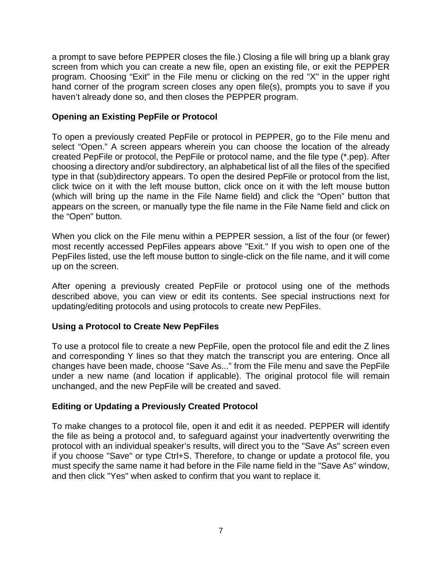a prompt to save before PEPPER closes the file.) Closing a file will bring up a blank gray screen from which you can create a new file, open an existing file, or exit the PEPPER program. Choosing "Exit" in the File menu or clicking on the red "X" in the upper right hand corner of the program screen closes any open file(s), prompts you to save if you haven't already done so, and then closes the PEPPER program.

## **Opening an Existing PepFile or Protocol**

To open a previously created PepFile or protocol in PEPPER, go to the File menu and select "Open." A screen appears wherein you can choose the location of the already created PepFile or protocol, the PepFile or protocol name, and the file type (\*.pep). After choosing a directory and/or subdirectory, an alphabetical list of all the files of the specified type in that (sub)directory appears. To open the desired PepFile or protocol from the list, click twice on it with the left mouse button, click once on it with the left mouse button (which will bring up the name in the File Name field) and click the "Open" button that appears on the screen, or manually type the file name in the File Name field and click on the "Open" button.

When you click on the File menu within a PEPPER session, a list of the four (or fewer) most recently accessed PepFiles appears above "Exit." If you wish to open one of the PepFiles listed, use the left mouse button to single-click on the file name, and it will come up on the screen.

After opening a previously created PepFile or protocol using one of the methods described above, you can view or edit its contents. See special instructions next for updating/editing protocols and using protocols to create new PepFiles.

#### **Using a Protocol to Create New PepFiles**

To use a protocol file to create a new PepFile, open the protocol file and edit the Z lines and corresponding Y lines so that they match the transcript you are entering. Once all changes have been made, choose "Save As..." from the File menu and save the PepFile under a new name (and location if applicable). The original protocol file will remain unchanged, and the new PepFile will be created and saved.

#### **Editing or Updating a Previously Created Protocol**

To make changes to a protocol file, open it and edit it as needed. PEPPER will identify the file as being a protocol and, to safeguard against your inadvertently overwriting the protocol with an individual speaker's results, will direct you to the "Save As" screen even if you choose "Save" or type Ctrl+S. Therefore, to change or update a protocol file, you must specify the same name it had before in the File name field in the "Save As" window, and then click "Yes" when asked to confirm that you want to replace it.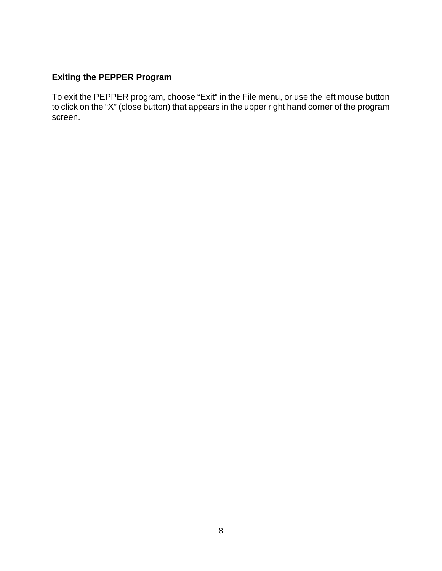# **Exiting the PEPPER Program**

To exit the PEPPER program, choose "Exit" in the File menu, or use the left mouse button to click on the "X" (close button) that appears in the upper right hand corner of the program screen.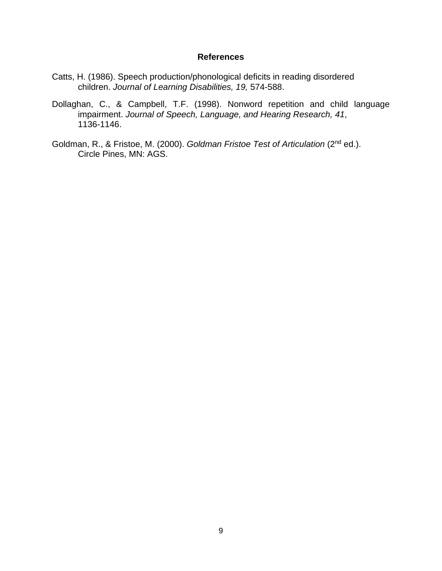#### **References**

- Catts, H. (1986). Speech production/phonological deficits in reading disordered children. *Journal of Learning Disabilities, 19,* 574-588.
- Dollaghan, C., & Campbell, T.F. (1998). Nonword repetition and child language impairment. *Journal of Speech, Language, and Hearing Research, 41*, 1136-1146.
- Goldman, R., & Fristoe, M. (2000). *Goldman Fristoe Test of Articulation* (2nd ed.). Circle Pines, MN: AGS.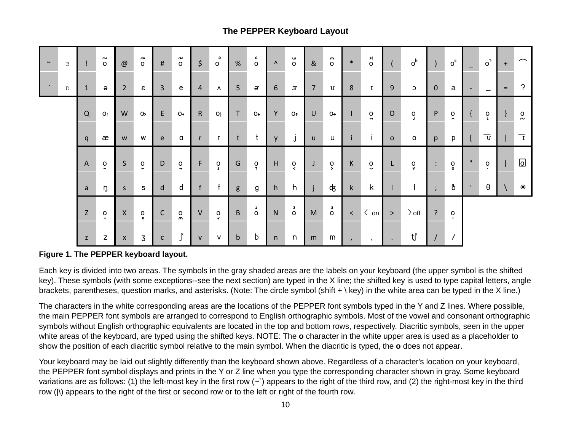## **The PEPPER Keyboard Layout**

| $\sim$        | $\mathcal{S}$ |              | $\sim$<br>$\circ$           | @              | ົ<br>$\circ$              | $\#$         | n<br>$\circ$             | $\frac{1}{2}$  | $\mathbf{c}$<br>$\circ$ | %            | $\mathbf{c}$<br>$\circ$ | $\Lambda$    | $\overset{\mathsf{u}}{\circ}$      | 8 <sub>l</sub> | $\mathsf{m}$<br>$\circ$ | $\ast$       | ×<br>$\circ$              |              | $o^h$                       | $\mathcal{L}$          | $o^{\pi}$                      | $\overline{\phantom{0}}$ | $\circ$                 | $+$ | $\frown$                |
|---------------|---------------|--------------|-----------------------------|----------------|---------------------------|--------------|--------------------------|----------------|-------------------------|--------------|-------------------------|--------------|------------------------------------|----------------|-------------------------|--------------|---------------------------|--------------|-----------------------------|------------------------|--------------------------------|--------------------------|-------------------------|-----|-------------------------|
| $\mathcal{N}$ | D             | $\mathbf{1}$ | $\Theta$                    | $\overline{2}$ | $\varepsilon$             | $\mathbf{3}$ | e                        | $\overline{4}$ | $\Lambda$               | 5            | e,                      | 6            | $\mathfrak{S}$                     | $\overline{7}$ | U                       | 8            | $\bf{I}$                  | 9            | C                           | $\overline{0}$         | a                              | $\overline{\phantom{a}}$ | $\qquad \qquad \qquad$  | $=$ | λ                       |
|               |               | Q            | <b>O:</b>                   | W              | $O_{\geq}$                | E            | $O+$                     | $\mathsf{R}$   | O <sub>1</sub>          | T            | $O+$                    | Y            | O <sub>f</sub>                     | $\sf U$        | $O\rightarrow$          | $\mathbf{I}$ | $\circ$<br>$\blacksquare$ | $\mathsf{O}$ | $\frac{0}{\mathsf{J}}$      | $\mathsf{P}$           | $\frac{0}{2}$                  |                          | $\int_{\mathbf{L}}$     |     | $\frac{0}{\sim}$        |
|               |               | q            | æ                           | W              | W                         | e            | a                        | $\mathsf{r}$   | r.                      | t            | $\mathsf{t}$            | $\mathsf{V}$ | $\sf J$                            | u              | u                       | i            | $\mathbf{i}$              | $\mathbf{O}$ | $\circ$                     | p                      | p                              |                          | $\overline{\mathbf{v}}$ |     | $\overline{\mathrm{I}}$ |
|               |               | $\mathsf{A}$ | $\overline{0}$              | $\mathsf S$    | $\circ$<br>$\blacksquare$ | D            | $\circ$<br>$\rightarrow$ | F              | $\mathsf{o}$<br>$\perp$ | G            | $\frac{0}{r}$           | H            | $\frac{0}{5}$                      | J              | $\frac{0}{2}$           | К            | $\overline{0}$            | L            | $\mathsf{o}$<br>$\mathbf v$ | $\ddot{\phantom{a}}$ . | $\rm ^o$                       | $\mathbf{H}$             | $\circ$<br>$\bullet$    |     | ا ⊙ا                    |
|               |               | a            | ŋ                           | S.             | S                         | $\mathsf{d}$ | d                        | f              | f                       | g            | g                       | h            | h                                  |                | क्                      | $\mathsf k$  | k                         |              |                             | $\ddot{ }$             | ð                              | $\mathbf{L}$             | θ                       |     | $\ast$                  |
|               |               | Z            | $\circ$<br>$\bullet\bullet$ | $\mathsf{X}$   | $\frac{0}{x}$             | $\mathsf{C}$ | $\alpha$                 | $\sf V$        | $\ddot{\circ}$          | B            | $\mathbf{1}$<br>$\circ$ | N            | $\overline{\mathbf{a}}$<br>$\circ$ | M              | $\overline{0}$          | $\prec$      | $\langle$ on              | $\geq$       | $\rangle$ off               | $\overline{?}$         | $\mathsf{o}$<br>$\blacksquare$ |                          |                         |     |                         |
|               |               | z            | Z                           | X              | $\overline{3}$            | $\mathsf{C}$ |                          | $\mathsf{V}$   | ۷                       | $\mathsf{b}$ | b                       | n            | n                                  | m              | m                       | $\prime$     | $\mathbf{r}$              | $\bullet$    | tſ                          | $\sqrt{2}$             | $\prime$                       |                          |                         |     |                         |

#### **Figure 1. The PEPPER keyboard layout.**

Each key is divided into two areas. The symbols in the gray shaded areas are the labels on your keyboard (the upper symbol is the shifted key). These symbols (with some exceptions--see the next section) are typed in the X line; the shifted key is used to type capital letters, angle brackets, parentheses, question marks, and asterisks. (Note: The circle symbol (shift + \ key) in the white area can be typed in the X line.)

The characters in the white corresponding areas are the locations of the PEPPER font symbols typed in the Y and Z lines. Where possible, the main PEPPER font symbols are arranged to correspond to English orthographic symbols. Most of the vowel and consonant orthographic symbols without English orthographic equivalents are located in the top and bottom rows, respectively. Diacritic symbols, seen in the upper white areas of the keyboard, are typed using the shifted keys. NOTE: The **o** character in the white upper area is used as a placeholder to show the position of each diacritic symbol relative to the main symbol. When the diacritic is typed, the **o** does not appear.

Your keyboard may be laid out slightly differently than the keyboard shown above. Regardless of a character's location on your keyboard, the PEPPER font symbol displays and prints in the Y or Z line when you type the corresponding character shown in gray. Some keyboard variations are as follows: (1) the left-most key in the first row  $(\sim)$  appears to the right of the third row, and (2) the right-most key in the third row (|\) appears to the right of the first or second row or to the left or right of the fourth row.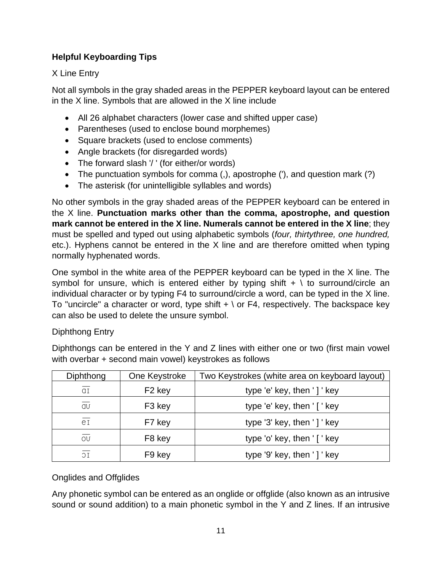# **Helpful Keyboarding Tips**

# X Line Entry

Not all symbols in the gray shaded areas in the PEPPER keyboard layout can be entered in the X line. Symbols that are allowed in the X line include

- All 26 alphabet characters (lower case and shifted upper case)
- Parentheses (used to enclose bound morphemes)
- Square brackets (used to enclose comments)
- Angle brackets (for disregarded words)
- The forward slash '/' (for either/or words)
- The punctuation symbols for comma (,), apostrophe ('), and question mark (?)
- The asterisk (for unintelligible syllables and words)

No other symbols in the gray shaded areas of the PEPPER keyboard can be entered in the X line. **Punctuation marks other than the comma, apostrophe, and question mark cannot be entered in the X line. Numerals cannot be entered in the X line**; they must be spelled and typed out using alphabetic symbols (*four, thirtythree, one hundred,*  etc.). Hyphens cannot be entered in the X line and are therefore omitted when typing normally hyphenated words.

One symbol in the white area of the PEPPER keyboard can be typed in the X line. The symbol for unsure, which is entered either by typing shift  $+ \setminus$  to surround/circle an individual character or by typing F4 to surround/circle a word, can be typed in the X line. To "uncircle" a character or word, type shift  $+ \setminus$  or F4, respectively. The backspace key can also be used to delete the unsure symbol.

## Diphthong Entry

Diphthongs can be entered in the Y and Z lines with either one or two (first main vowel with overbar + second main vowel) keystrokes as follows

| Diphthong | One Keystroke      | Two Keystrokes (white area on keyboard layout) |
|-----------|--------------------|------------------------------------------------|
| αI        | F <sub>2</sub> key | type 'e' key, then '] ' key                    |
| av        | F <sub>3</sub> key | type 'e' key, then ' [' key                    |
| eI        | F7 key             | type '3' key, then '] ' key                    |
| OU        | F <sub>8</sub> key | type 'o' key, then ' [' key                    |
| 1C        | F <sub>9</sub> key | type '9' key, then '] ' key                    |

# Onglides and Offglides

Any phonetic symbol can be entered as an onglide or offglide (also known as an intrusive sound or sound addition) to a main phonetic symbol in the Y and Z lines. If an intrusive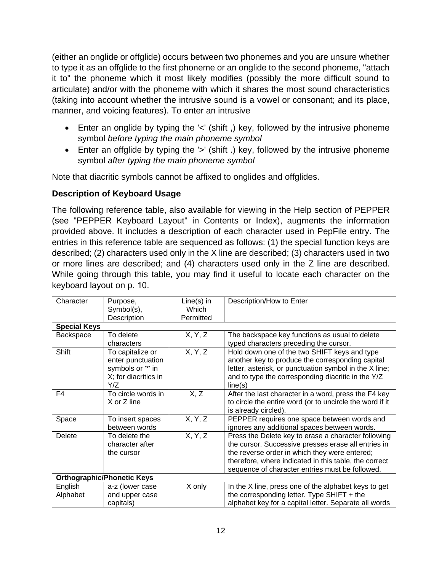(either an onglide or offglide) occurs between two phonemes and you are unsure whether to type it as an offglide to the first phoneme or an onglide to the second phoneme, "attach it to" the phoneme which it most likely modifies (possibly the more difficult sound to articulate) and/or with the phoneme with which it shares the most sound characteristics (taking into account whether the intrusive sound is a vowel or consonant; and its place, manner, and voicing features). To enter an intrusive

- Enter an onglide by typing the '<' (shift ,) key, followed by the intrusive phoneme symbol *before typing the main phoneme symbol*
- Enter an offglide by typing the '>' (shift .) key, followed by the intrusive phoneme symbol *after typing the main phoneme symbol*

Note that diacritic symbols cannot be affixed to onglides and offglides.

# **Description of Keyboard Usage**

The following reference table, also available for viewing in the Help section of PEPPER (see "PEPPER Keyboard Layout" in Contents or Index), augments the information provided above. It includes a description of each character used in PepFile entry. The entries in this reference table are sequenced as follows: (1) the special function keys are described; (2) characters used only in the X line are described; (3) characters used in two or more lines are described; and (4) characters used only in the Z line are described. While going through this table, you may find it useful to locate each character on the keyboard layout on p. 10.

| Character           | Purpose,                                                                                  | Line(s) in | Description/How to Enter                                                                                                                                                                                                                                                |
|---------------------|-------------------------------------------------------------------------------------------|------------|-------------------------------------------------------------------------------------------------------------------------------------------------------------------------------------------------------------------------------------------------------------------------|
|                     | Symbol(s),                                                                                | Which      |                                                                                                                                                                                                                                                                         |
|                     | Description                                                                               | Permitted  |                                                                                                                                                                                                                                                                         |
| <b>Special Keys</b> |                                                                                           |            |                                                                                                                                                                                                                                                                         |
| Backspace           | To delete                                                                                 | X, Y, Z    | The backspace key functions as usual to delete                                                                                                                                                                                                                          |
|                     | characters                                                                                |            | typed characters preceding the cursor.                                                                                                                                                                                                                                  |
| Shift               | To capitalize or<br>enter punctuation<br>symbols or "*" in<br>X; for diacritics in<br>Y/Z | X, Y, Z    | Hold down one of the two SHIFT keys and type<br>another key to produce the corresponding capital<br>letter, asterisk, or punctuation symbol in the X line;<br>and to type the corresponding diacritic in the Y/Z<br>line(s)                                             |
| F4                  | To circle words in<br>X or Z line                                                         | X, Z       | After the last character in a word, press the F4 key<br>to circle the entire word (or to uncircle the word if it<br>is already circled).                                                                                                                                |
| Space               | To insert spaces<br>between words                                                         | X, Y, Z    | PEPPER requires one space between words and<br>ignores any additional spaces between words.                                                                                                                                                                             |
| Delete              | To delete the<br>character after<br>the cursor                                            | X, Y, Z    | Press the Delete key to erase a character following<br>the cursor. Successive presses erase all entries in<br>the reverse order in which they were entered;<br>therefore, where indicated in this table, the correct<br>sequence of character entries must be followed. |
|                     | <b>Orthographic/Phonetic Keys</b>                                                         |            |                                                                                                                                                                                                                                                                         |
| English             | a-z (lower case                                                                           | X only     | In the X line, press one of the alphabet keys to get                                                                                                                                                                                                                    |
| Alphabet            | and upper case                                                                            |            | the corresponding letter. Type SHIFT $+$ the                                                                                                                                                                                                                            |
|                     | capitals)                                                                                 |            | alphabet key for a capital letter. Separate all words                                                                                                                                                                                                                   |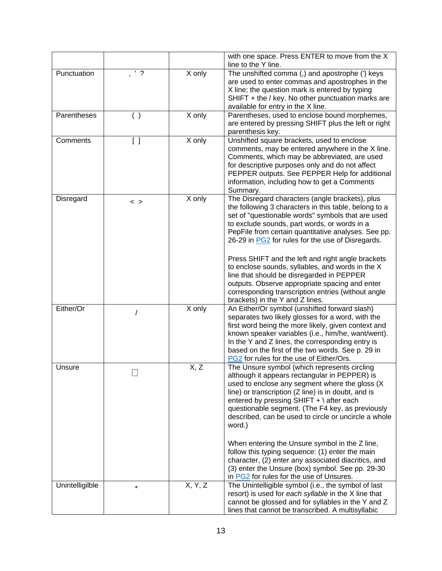|                 |                                 |         | with one space. Press ENTER to move from the X<br>line to the Y line.                                                                                                                                                                                                                                                                                                                                                                                                                                                                                                                                                                 |
|-----------------|---------------------------------|---------|---------------------------------------------------------------------------------------------------------------------------------------------------------------------------------------------------------------------------------------------------------------------------------------------------------------------------------------------------------------------------------------------------------------------------------------------------------------------------------------------------------------------------------------------------------------------------------------------------------------------------------------|
| Punctuation     | $'$ ?                           | X only  | The unshifted comma (,) and apostrophe (') keys<br>are used to enter commas and apostrophes in the<br>X line; the question mark is entered by typing<br>SHIFT + the / key. No other punctuation marks are<br>available for entry in the X line.                                                                                                                                                                                                                                                                                                                                                                                       |
| Parentheses     | ( )                             | X only  | Parentheses, used to enclose bound morphemes,<br>are entered by pressing SHIFT plus the left or right<br>parenthesis key.                                                                                                                                                                                                                                                                                                                                                                                                                                                                                                             |
| Comments        | $\begin{bmatrix} \end{bmatrix}$ | X only  | Unshifted square brackets, used to enclose<br>comments, may be entered anywhere in the X line.<br>Comments, which may be abbreviated, are used<br>for descriptive purposes only and do not affect<br>PEPPER outputs. See PEPPER Help for additional<br>information, including how to get a Comments<br>Summary.                                                                                                                                                                                                                                                                                                                       |
| Disregard       | $\langle$ $>$                   | X only  | The Disregard characters (angle brackets), plus<br>the following 3 characters in this table, belong to a<br>set of "questionable words" symbols that are used<br>to exclude sounds, part words, or words in a<br>PepFile from certain quantitative analyses. See pp.<br>26-29 in PG2 for rules for the use of Disregards.<br>Press SHIFT and the left and right angle brackets<br>to enclose sounds, syllables, and words in the X<br>line that should be disregarded in PEPPER<br>outputs. Observe appropriate spacing and enter<br>corresponding transcription entries (without angle<br>brackets) in the Y and Z lines.            |
| Either/Or       |                                 | X only  | An Either/Or symbol (unshifted forward slash)<br>separates two likely glosses for a word, with the<br>first word being the more likely, given context and<br>known speaker variables (i.e., him/he, want/went).<br>In the Y and Z lines, the corresponding entry is<br>based on the first of the two words. See p. 29 in<br>PG2 for rules for the use of Either/Ors.                                                                                                                                                                                                                                                                  |
| Unsure          |                                 | X, Z    | The Unsure symbol (which represents circling<br>although it appears rectangular in PEPPER) is<br>used to enclose any segment where the gloss (X)<br>line) or transcription (Z line) is in doubt, and is<br>entered by pressing SHIFT + \ after each<br>questionable segment. (The F4 key, as previously<br>described, can be used to circle or uncircle a whole<br>word.)<br>When entering the Unsure symbol in the Z line,<br>follow this typing sequence: (1) enter the main<br>character, (2) enter any associated diacritics, and<br>(3) enter the Unsure (box) symbol. See pp. 29-30<br>in PG2 for rules for the use of Unsures. |
| Unintelligilble | $\star$                         | X, Y, Z | The Unintelligible symbol (i.e., the symbol of last<br>resort) is used for each syllable in the X line that<br>cannot be glossed and for syllables in the Y and Z<br>lines that cannot be transcribed. A multisyllabic                                                                                                                                                                                                                                                                                                                                                                                                                |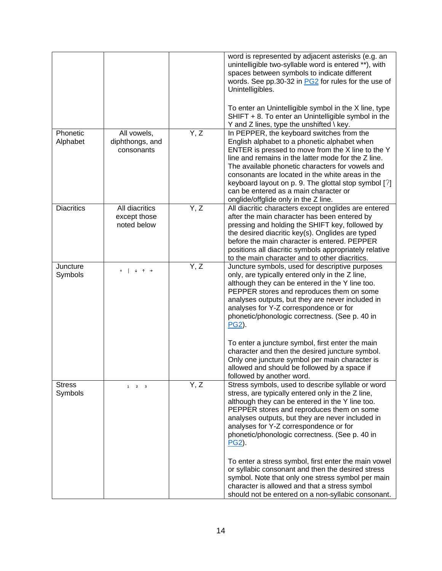|                          |                                               |      | word is represented by adjacent asterisks (e.g. an<br>unintelligible two-syllable word is entered **), with<br>spaces between symbols to indicate different<br>words. See pp.30-32 in PG2 for rules for the use of<br>Unintelligibles.<br>To enter an Unintelligible symbol in the X line, type                                                                                                                                                          |
|--------------------------|-----------------------------------------------|------|----------------------------------------------------------------------------------------------------------------------------------------------------------------------------------------------------------------------------------------------------------------------------------------------------------------------------------------------------------------------------------------------------------------------------------------------------------|
|                          |                                               |      | SHIFT + 8. To enter an Unintelligible symbol in the<br>Y and Z lines, type the unshifted $\backslash$ key.                                                                                                                                                                                                                                                                                                                                               |
| Phonetic<br>Alphabet     | All vowels,<br>diphthongs, and<br>consonants  | Y, Z | In PEPPER, the keyboard switches from the<br>English alphabet to a phonetic alphabet when<br>ENTER is pressed to move from the X line to the Y<br>line and remains in the latter mode for the Z line.<br>The available phonetic characters for vowels and<br>consonants are located in the white areas in the<br>keyboard layout on p. 9. The glottal stop symbol $[?]$<br>can be entered as a main character or<br>onglide/offglide only in the Z line. |
| <b>Diacritics</b>        | All diacritics<br>except those<br>noted below | Y, Z | All diacritic characters except onglides are entered<br>after the main character has been entered by<br>pressing and holding the SHIFT key, followed by<br>the desired diacritic key(s). Onglides are typed<br>before the main character is entered. PEPPER<br>positions all diacritic symbols appropriately relative<br>to the main character and to other diacritics.                                                                                  |
| Juncture<br>Symbols      | ↑                                             | Y, Z | Juncture symbols, used for descriptive purposes<br>only, are typically entered only in the Z line,<br>although they can be entered in the Y line too.<br>PEPPER stores and reproduces them on some<br>analyses outputs, but they are never included in<br>analyses for Y-Z correspondence or for<br>phonetic/phonologic correctness. (See p. 40 in<br>PG2).                                                                                              |
|                          |                                               |      | To enter a juncture symbol, first enter the main<br>character and then the desired juncture symbol.<br>Only one juncture symbol per main character is<br>allowed and should be followed by a space if<br>followed by another word.                                                                                                                                                                                                                       |
| <b>Stress</b><br>Symbols | $1 \qquad 2 \qquad 3$                         | Y, Z | Stress symbols, used to describe syllable or word<br>stress, are typically entered only in the Z line,<br>although they can be entered in the Y line too.<br>PEPPER stores and reproduces them on some<br>analyses outputs, but they are never included in<br>analyses for Y-Z correspondence or for<br>phonetic/phonologic correctness. (See p. 40 in<br><u>PG2</u> ).                                                                                  |
|                          |                                               |      | To enter a stress symbol, first enter the main vowel<br>or syllabic consonant and then the desired stress<br>symbol. Note that only one stress symbol per main<br>character is allowed and that a stress symbol<br>should not be entered on a non-syllabic consonant.                                                                                                                                                                                    |